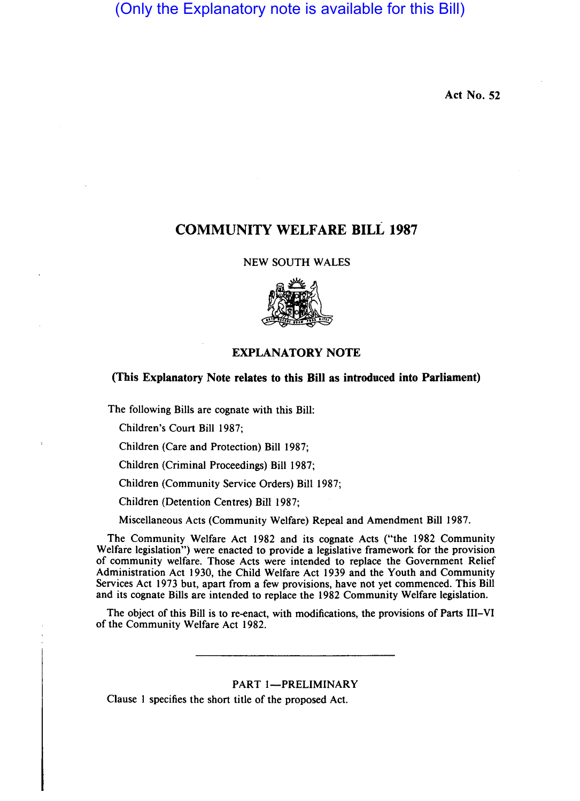(Only the Explanatory note is available for this Bill)

Act No. 52

# COMMUNITY WELFARE BILL 1987

NEW SOUTH WALES



## EXPLANATORY NOTE

# (This Explanatory Note relates to this Bill as introduced into Parliament)

The following Bills are cognate with this Bill:

Children's Court Bill 1987;

Children (Care and Protection) Bill 1987;

Children (Criminal Proceedings) Bill 1987;

Children (Community Service Orders) Bill 1987;

Children (Detention Centres) Bill 1987;

Miscellaneous Acts (Community Welfare) Repeal and Amendment Bill 1987.

The Community Welfare Act 1982 and its cognate Acts ("the 1982 Community Welfare legislation") were enacted to provide a legislative framework for the provision of community welfare. Those Acts were intended to replace the Government Relief Administration Act 1930, the Child Welfare Act 1939 and the Youth and Community Services Act 1973 but, apart from a few provisions, have not yet commenced. This Bill and its cognate Bills are intended to replace the 1982 Community Welfare legislation.

The object of this Bill is to re-enact, with modifications, the provisions of Parts Ill-VI of the Community Welfare Act 1982.

PART I-PRELIMINARY

Clause I specifies the short title of the proposed Act.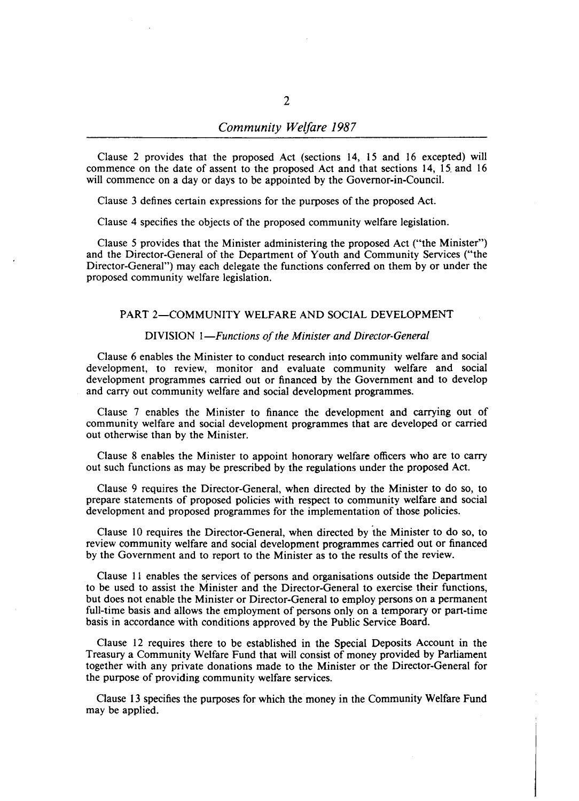## *Community Welfare 1987*

Clause 2 provides that the proposed Act (sections 14, 15 and 16 excepted) will commence on the date of assent to the proposed Act and that sections 14, 15. and 16 will commence on a day or days to be appointed by the Governor-in-Council.

Clause 3 defines certain expressions for the purposes of the proposed Act.

Clause 4 specifies the objects of the proposed community welfare legislation.

Clause 5 provides that the Minister administering the proposed Act ("the Minister") and the Director-General of the Department of Youth and Community Services ("the Director-General") may each delegate the functions conferred on them by or under the proposed community welfare legislation.

# PART 2-COMMUNITY WELFARE AND SOCIAL DEVELOPMENT

### DIVISION *I-Functions of the Minister and Director-General*

Clause 6 enables the Minister to conduct research into community welfare and social development, to review, monitor and evaluate community welfare and social development programmes carried out or financed by the Government and to develop and carry out community welfare and social development programmes.

Clause 7 enables the Minister to finance the development and carrying out of community welfare and social development programmes that are developed or carried out otherwise than by the Minister.

Clause 8 enables the Minister to appoint honorary welfare officers who are to carry out such functions as may be prescribed by the regulations under the proposed Act.

Clause 9 requires the Director-General, when directed by the Minister to do so, to prepare statements of proposed policies with respect to community welfare and social development and proposed programmes for the implementation of those policies.

Clause 10 requires the Director-General, when directed by 'the Minister to do so, to review community welfare and social development programmes carried out or financed by the Government and to report to the Minister as to the results of the review.

Clause  $11$  enables the services of persons and organisations outside the Department to be used to assist the Minister and the Director-General to exercise their functions, but does not enable the Minister or Director-General to employ persons on a permanent full-time basis and allows the employment of persons only on a temporary or part-time basis in accordance with conditions approved by the Public Service Board.

Clause 12 requires there to be established in the Special Deposits Account in the Treasury a Community Welfare Fund that will consist of money provided by Parliament together with any private donations made to the Minister or the Director-General for the purpose of providing community welfare services.

Clause 13 specifies the purposes for which the money in the Community Welfare Fund may be applied.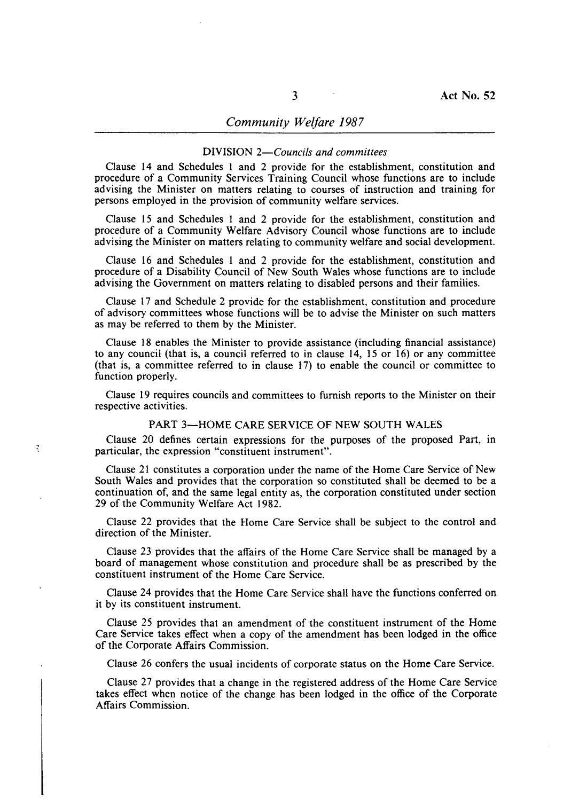## *Community Welfare 1987*

#### DIVISION *2-Councils and committees*

Clause 14 and Schedules 1 and 2 provide for the establishment, constitution and procedure of a Community Services Training Council whose functions are to include advising the Minister on matters relating to courses of instruction and training for persons employed in the provision of community welfare services.

Clause 15 and Schedules 1 and 2 provide for the establishment, constitution and procedure of a Community Welfare Advisory Council whose functions are to include advising the Minister on matters relating to community welfare and social development.

Clause 16 and Schedules 1 and 2 provide for the establishment, constitution and procedure of a Disability Council of New South Wales whose functions are to include advising the Government on matters relating to disabled persons and their families.

Clause 17 and Schedule 2 provide for the establishment, constitution and procedure of advisory committees whose functions will be to advise the Minister on such matters as may be referred to them by the Minister.

Clause 18 enables the Minister to provide assistance (including financial assistance) to any council (that is, a council referred to in clause 14, 15 or 16) or any committee (that is, a committee referred to in clause 17) to enable the council or committee to function properly.

Clause 19 requires councils and committees to furnish reports to the Minister on their respective activities.

## PART 3-HOME CARE SERVICE OF NEW SOUTH WALES

Clause 20 defines certain expressions for the purposes of the proposed Part, in particular, the expression "constituent instrument".

 $\ddot{z}$ 

Clause 21 constitutes a corporation under the name of the Home Care Service of New South Wales and provides that the corporation so constituted shall be deemed to be a continuation of, and the same legal entity as, the corporation constituted under section 29 of the Community Welfare Act 1982.

Clause 22 provides that the Home Care Service shall be subject to the control and direction of the Minister.

Clause 2J provides that the affairs of the Home Care Service shall be managed by a board of management whose constitution and procedure shall be as prescribed by the constituent instrument of the Home Care Service.

Clause 24 provides that the Home Care Service shall have the functions conferred on it by its constituent instrument.

Clause 25 provides that an amendment of the constituent instrument of the Home Care Service takes effect when a copy of the amendment has been lodged in the office of the Corporate Affairs Commission.

Clause 26 confers the usual incidents of corporate status on the Home Care Service.

Clause 27 provides that a change in the registered address of the Home Care Service takes effect when notice of the change has been lodged in the office of the Corporate Affairs Commission.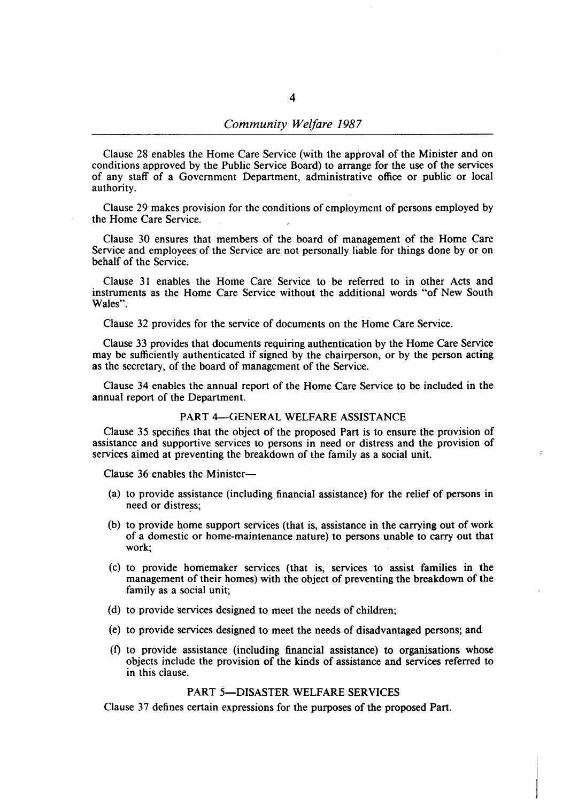Clause 28 enables the Home Care Service (with the approval of the Minister and on conditions approved by the Public Service Board) to arrange for the use of the services of any staff of a Government Department, administrative office or public or local authority.

Clause 29 makes provision for the conditions of employment of persons employed by the Home Care Service.

Clause 30 ensures that members of the board of management of the Home Care Service and employees of the Service are not personally liable for things done by or on behalf of the Service.

Clause 31 enables the Home Care Service to be referred to in other Acts and instruments as the Home Care Service without the additional words "of New South Wales".

Clause 32 provides for the service of documents on the Home Care Service.

Clause 33 provides that documents requiring authentication by the Home Care Service may be sufficiently authenticated if signed by the chairperson, or by the person acting as the secretary, of the board of management of the Service.

Clause 34 enables the annual report of the Home Care Service to be included in the annual report of the Department.

## PART 4-GENERAL WELFARE ASSISTANCE

Clause 35 specifies that the object of the proposed Part is to ensure the provision of assistance and supportive services to persons in need or distress and the provision of services aimed at preventing the breakdown of the family as a social unit.

Clause 36 enables the Minister-

- (a) to provide assistance (including financial assistance) for the relief of persons in need or distress;
- (b) to provide home support services (that is, assistance in the carrying out of work of a domestic or home-maintenance nature) to persons unable to carry out that work;
- (c) to provide homemaker services (that is, services to assist families in the management of their homes) with the object of preventing the breakdown of the family as a social unit;
- (d) to provide services designed to meet the needs of children;
- (e) to provide services designed to meet the needs of disadvantaged persons; and
- (f) to provide assistance (including financial assistance) to organisations whose objects include the provision of the kinds of assistance and services referred to in this clause.

## PART 5-DISASTER WELFARE SERVICES

Clause 37 defines certain expressions for the purposes of the proposed Part.